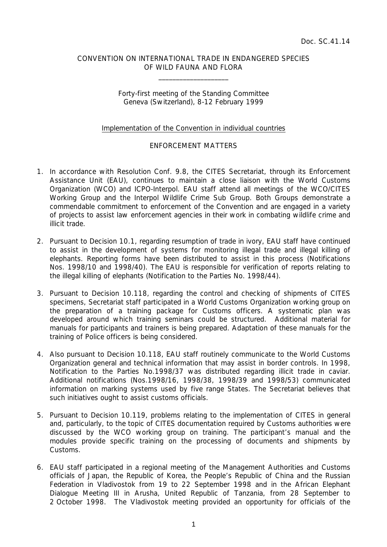## CONVENTION ON INTERNATIONAL TRADE IN ENDANGERED SPECIES OF WILD FAUNA AND FLORA

 $\overline{\phantom{a}}$  , which is a set of the set of the set of the set of the set of the set of the set of the set of the set of the set of the set of the set of the set of the set of the set of the set of the set of the set of th

## Forty-first meeting of the Standing Committee Geneva (Switzerland), 8-12 February 1999

## Implementation of the Convention in individual countries

## ENFORCEMENT MATTERS

- 1. In accordance with Resolution Conf. 9.8, the CITES Secretariat, through its Enforcement Assistance Unit (EAU), continues to maintain a close liaison with the World Customs Organization (WCO) and ICPO-Interpol. EAU staff attend all meetings of the WCO/CITES Working Group and the Interpol Wildlife Crime Sub Group. Both Groups demonstrate a commendable commitment to enforcement of the Convention and are engaged in a variety of projects to assist law enforcement agencies in their work in combating wildlife crime and illicit trade.
- 2. Pursuant to Decision 10.1, regarding resumption of trade in ivory, EAU staff have continued to assist in the development of systems for monitoring illegal trade and illegal killing of elephants. Reporting forms have been distributed to assist in this process (Notifications Nos. 1998/10 and 1998/40). The EAU is responsible for verification of reports relating to the illegal killing of elephants (Notification to the Parties No. 1998/44).
- 3. Pursuant to Decision 10.118, regarding the control and checking of shipments of CITES specimens, Secretariat staff participated in a World Customs Organization working group on the preparation of a training package for Customs officers. A systematic plan was developed around which training seminars could be structured. Additional material for manuals for participants and trainers is being prepared. Adaptation of these manuals for the training of Police officers is being considered.
- 4. Also pursuant to Decision 10.118, EAU staff routinely communicate to the World Customs Organization general and technical information that may assist in border controls. In 1998, Notification to the Parties No.1998/37 was distributed regarding illicit trade in caviar. Additional notifications (Nos.1998/16, 1998/38, 1998/39 and 1998/53) communicated information on marking systems used by five range States. The Secretariat believes that such initiatives ought to assist customs officials.
- 5. Pursuant to Decision 10.119, problems relating to the implementation of CITES in general and, particularly, to the topic of CITES documentation required by Customs authorities were discussed by the WCO working group on training. The participant's manual and the modules provide specific training on the processing of documents and shipments by Customs.
- 6. EAU staff participated in a regional meeting of the Management Authorities and Customs officials of Japan, the Republic of Korea, the People's Republic of China and the Russian Federation in Vladivostok from 19 to 22 September 1998 and in the African Elephant Dialogue Meeting III in Arusha, United Republic of Tanzania, from 28 September to 2 October 1998. The Vladivostok meeting provided an opportunity for officials of the